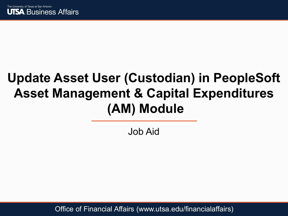

### **Update Asset User (Custodian) in PeopleSoft Asset Management & Capital Expenditures (AM) Module**

Job Aid

Office of Financial Affairs (www.utsa.edu/financialaffairs)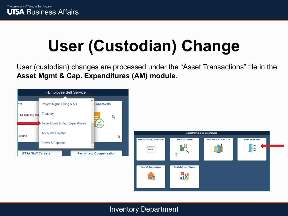# **User (Custodian) Change**

User (custodian) changes are processed under the "Asset Transactions" tile in the **Asset Mgmt & Cap. Expenditures (AM) module**.



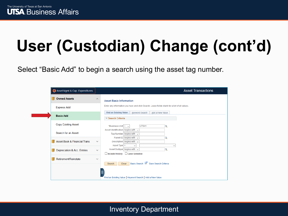Select "Basic Add" to begin a search using the asset tag number.

| Asset Mgmt & Cap. Expenditures          |              | <b>Asset Transactions</b>                                                                                                               |
|-----------------------------------------|--------------|-----------------------------------------------------------------------------------------------------------------------------------------|
| <b>Owned Assets</b>                     | $\wedge$     | <b>Asset Basic Information</b>                                                                                                          |
| <b>Express Add</b>                      |              | Enter any information you have and click Search. Leave fields blank for a list of all values.                                           |
| <b>Basic Add</b>                        |              | <b>Find an Existing Value</b><br>Keyword Search<br>Add a New Value<br>Search Criteria                                                   |
| <b>Copy Existing Asset</b>              |              | *Business Unit = $\sqrt{}$<br>UTSA1<br>Q                                                                                                |
| Search for an Asset                     |              | Asset Identification begins with $\sim$<br>Tag Number begins with $\sim$<br>Parent ID begins with $\sim$<br>Q                           |
| <b>Asset Book &amp; Financial Trans</b> | $\checkmark$ | Description begins with $\sim$                                                                                                          |
| Depreciation & Acc. Entries             | $\checkmark$ | Asset Type $=$<br>$\checkmark$<br>$\checkmark$<br>Asset Subtype begins with $\sim$<br>Q<br>$\Box$ Include History $\Box$ Case Sensitive |
| Retirement/Reinstate                    | $\checkmark$ | Basic Search & Save Search Criteria<br>Clear<br>Search                                                                                  |
|                                         |              | Find an Existing Value   Keyword Search   Add a New Value                                                                               |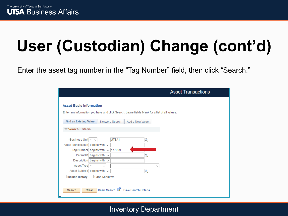Enter the asset tag number in the "Tag Number" field, then click "Search."

| <b>Asset Transactions</b>                                                                                                                                                                                                                                                                                                                               |
|---------------------------------------------------------------------------------------------------------------------------------------------------------------------------------------------------------------------------------------------------------------------------------------------------------------------------------------------------------|
| <b>Asset Basic Information</b><br>Enter any information you have and click Search. Leave fields blank for a list of all values.                                                                                                                                                                                                                         |
| <b>Find an Existing Value</b><br>Keyword Search<br>Add a New Value                                                                                                                                                                                                                                                                                      |
| $\blacktriangledown$ Search Criteria                                                                                                                                                                                                                                                                                                                    |
| *Business Unit $=$ $\vee$<br>UTSA1<br>Q<br>Asset Identification begins with $\sim$<br>177099<br>Tag Number begins with<br>$\checkmark$<br>Parent ID begins with $\sim$<br>Q<br>Description begins with $\sim$<br>Asset Type $=$<br>$\checkmark$<br>$\check{ }$<br>Asset Subtype begins with $\sim$<br>Q<br>$\Box$ Include History $\Box$ Case Sensitive |
| Basic Search & Save Search Criteria<br><b>Clear</b><br>Search                                                                                                                                                                                                                                                                                           |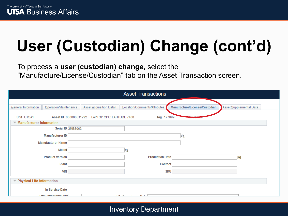### To process a **user (custodian) change**, select the "Manufacture/License/Custodian" tab on the Asset Transaction screen.

|                             |                             |                                                 | <b>Asset Transactions</b>        |                                 |                         |
|-----------------------------|-----------------------------|-------------------------------------------------|----------------------------------|---------------------------------|-------------------------|
|                             |                             |                                                 |                                  |                                 |                         |
| General Information         | Operation/Maintenance       | Asset Acquisition Detail                        | Location/Comments/Attributes     | Manufacture/License/Custodian   | Asset Supplemental Data |
| Unit UTSA1                  |                             | Asset ID 000000011292 LAPTOP CPU: LATITUDE 7400 | Tag 177099                       | <b><i>SERVICE STRATEGIC</i></b> |                         |
| ▼ Manufacturer Information  |                             |                                                 |                                  |                                 |                         |
|                             | Serial ID 3MBS063           |                                                 |                                  |                                 |                         |
|                             | <b>Manufacturer ID</b>      |                                                 |                                  |                                 |                         |
|                             | <b>Manufacturer Name</b>    |                                                 |                                  |                                 |                         |
|                             | Model                       |                                                 | Q                                |                                 |                         |
|                             | <b>Product Version</b>      |                                                 | <b>Production Date</b>           |                                 | Ħ                       |
|                             | <b>Plant</b>                |                                                 | Contact                          |                                 |                         |
|                             | <b>VIN</b>                  |                                                 | <b>SKU</b>                       |                                 |                         |
| ▼ Physical Life Information |                             |                                                 |                                  |                                 |                         |
|                             | <b>In Service Date</b>      |                                                 |                                  |                                 |                         |
|                             | <b>Life Evnoctancy Vrc.</b> |                                                 | 1. Glass Commonwealth and Alaska |                                 |                         |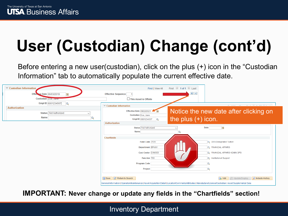Before entering a new user(custodian), click on the plus (+) icon in the "Custodian Information" tab to automatically populate the current effective date.

| Custodian Information                                        | First 1 of 1 2 Last<br>Find   View All                                                                                                                                                     |                                                                                                |
|--------------------------------------------------------------|--------------------------------------------------------------------------------------------------------------------------------------------------------------------------------------------|------------------------------------------------------------------------------------------------|
| Effective Date 06/03/2019<br>FJ                              | $+$ $-$<br><b>Effective Sequence</b>                                                                                                                                                       |                                                                                                |
| Custodian Doe, Jane                                          | This Asset is Offsite                                                                                                                                                                      |                                                                                                |
| Empl ID 6001234567<br>$\Omega$                               | Custodian Information                                                                                                                                                                      | $m_{\rm max}$ (a) a sea (b) $m_{\rm max}$<br>mark them.<br>$-0.001$                            |
| Authorization<br>Status   Not Authorized<br><b>Name</b><br>Q | Effective Date 09/22/2021<br>Custodian Doe, Jane<br>the plus $(+)$ icon.<br>Empl ID 6001234567<br>$\overline{Q}$<br>Authorization                                                          | Notice the new date after clicking on                                                          |
|                                                              | <b>Status</b> Not Authorized<br>Name                                                                                                                                                       | E<br><b>Date</b>                                                                               |
|                                                              | <b>Chartfields</b>                                                                                                                                                                         |                                                                                                |
|                                                              | Fund Code 3105<br><b>Department BFA001</b><br>Cost Center DXM003                                                                                                                           | Q DES Designated Tuition<br><b>Q</b> FINANCIAL AFFAIRS<br><b>Q FINANCIAL AFFAIRS ADMIN OPS</b> |
|                                                              | Function 700                                                                                                                                                                               | <b>Q</b> Institutional Support                                                                 |
|                                                              | <b>Program Code</b>                                                                                                                                                                        | Q                                                                                              |
|                                                              | Project                                                                                                                                                                                    | $\circ$                                                                                        |
|                                                              | Save & Return to Search<br>General Information   Operation/Maintenance   Asset Acquisition Detail   Location/Comments/Attributes   Manufacture/License/Custodian   Asset Supplemental Data | <b>B</b> Update/Display<br>Include History<br>$\Box$ Add                                       |

**IMPORTANT: Never change or update any fields in the "Chartfields" section!**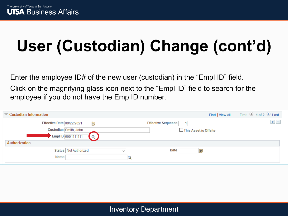Enter the employee ID# of the new user (custodian) in the "Empl ID" field.

Click on the magnifying glass icon next to the "Empl ID" field to search for the employee if you do not have the Emp ID number.

| Custodian Information     |                                                              |             |                                                      | Find   View All | First 1 of 2 Last |
|---------------------------|--------------------------------------------------------------|-------------|------------------------------------------------------|-----------------|-------------------|
| Effective Date 09/22/2021 | D)<br>Custodian Smith, John<br>Empl ID 6001111111<br>$\circ$ |             | <b>Effective Sequence</b><br>□ This Asset is Offsite |                 | $+$ $-$           |
| Authorization<br>Name     | Status   Not Authorized                                      | $\check{ }$ | Date                                                 | bi)             |                   |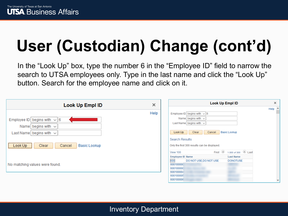In the "Look Up" box, type the number 6 in the "Employee ID" field to narrow the search to UTSA employees only. Type in the last name and click the "Look Up" button. Search for the employee name and click on it.

| Look Up Empl ID                                                                               | ×    | <b>Look Up Empl ID</b>                                                                                                                      | $\times$ |
|-----------------------------------------------------------------------------------------------|------|---------------------------------------------------------------------------------------------------------------------------------------------|----------|
| Employee ID begins with $\sqrt{6}$<br>Name begins with $\sim$<br>Last Name begins with $\sim$ | Help | Employee ID begins with $\sqrt{6}$<br>Name begins with $\sim$<br>Last Name begins with $\sim$<br>Clear<br>Basic Lookup<br>Look Up<br>Cancel | Help     |
| Clear<br>Cancel<br>Basic Lookup<br>Look Up                                                    |      | <b>Search Results</b><br>Only the first 300 results can be displayed.<br>First 1-300 of 300 2 Last<br>View 100                              |          |
| No matching values were found.                                                                |      | <b>Last Name</b><br><b>Employee ID Name</b><br>600<br>DO NOT USE, DO NOT USE<br><b>DONOTUSE</b><br>600100000<br>600100000<br>600100004      |          |
|                                                                                               |      | 600100005<br>consecond                                                                                                                      |          |